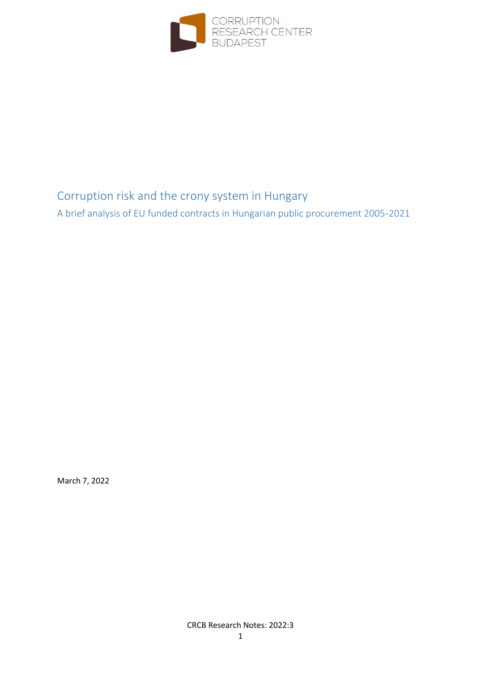

## Corruption risk and the crony system in Hungary

A brief analysis of EU funded contracts in Hungarian public procurement 2005-2021

March 7, 2022

CRCB Research Notes: 2022:3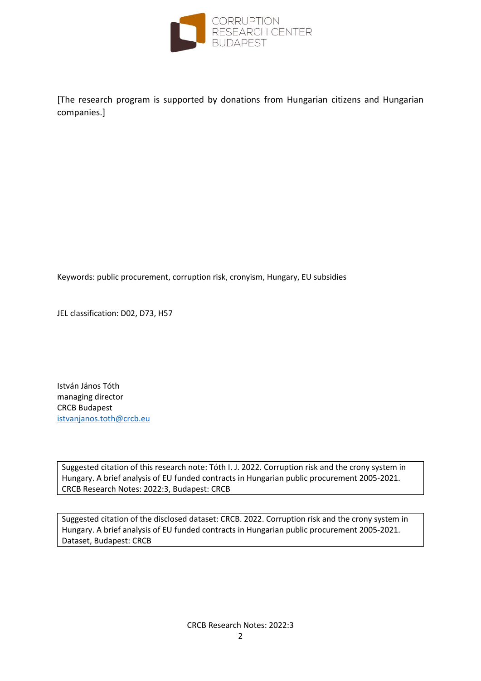

[The research program is supported by donations from Hungarian citizens and Hungarian companies.]

Keywords: public procurement, corruption risk, cronyism, Hungary, EU subsidies

JEL classification: D02, D73, H57

István János Tóth managing director CRCB Budapest [istvanjanos.toth@crcb.eu](mailto:istvanjanos.toth@crcb.eu)

Suggested citation of this research note: Tóth I. J. 2022. Corruption risk and the crony system in Hungary. A brief analysis of EU funded contracts in Hungarian public procurement 2005-2021. CRCB Research Notes: 2022:3, Budapest: CRCB

Suggested citation of the disclosed dataset: CRCB. 2022. Corruption risk and the crony system in Hungary. A brief analysis of EU funded contracts in Hungarian public procurement 2005-2021. Dataset, Budapest: CRCB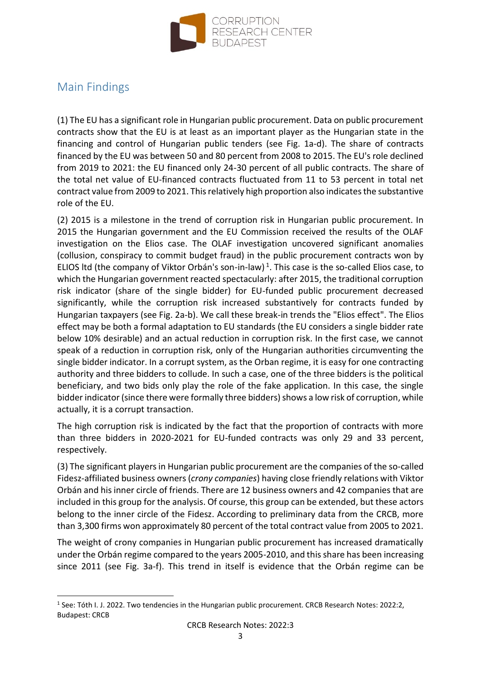

## Main Findings

(1) The EU has a significant role in Hungarian public procurement. Data on public procurement contracts show that the EU is at least as an important player as the Hungarian state in the financing and control of Hungarian public tenders (see Fig. 1a-d). The share of contracts financed by the EU was between 50 and 80 percent from 2008 to 2015. The EU's role declined from 2019 to 2021: the EU financed only 24-30 percent of all public contracts. The share of the total net value of EU-financed contracts fluctuated from 11 to 53 percent in total net contract value from 2009 to 2021. This relatively high proportion also indicates the substantive role of the EU.

(2) 2015 is a milestone in the trend of corruption risk in Hungarian public procurement. In 2015 the Hungarian government and the EU Commission received the results of the OLAF investigation on the Elios case. The OLAF investigation uncovered significant anomalies (collusion, conspiracy to commit budget fraud) in the public procurement contracts won by ELIOS Itd (the company of Viktor Orbán's son-in-law)<sup>1</sup>. This case is the so-called Elios case, to which the Hungarian government reacted spectacularly: after 2015, the traditional corruption risk indicator (share of the single bidder) for EU-funded public procurement decreased significantly, while the corruption risk increased substantively for contracts funded by Hungarian taxpayers (see Fig. 2a-b). We call these break-in trends the "Elios effect". The Elios effect may be both a formal adaptation to EU standards (the EU considers a single bidder rate below 10% desirable) and an actual reduction in corruption risk. In the first case, we cannot speak of a reduction in corruption risk, only of the Hungarian authorities circumventing the single bidder indicator. In a corrupt system, as the Orban regime, it is easy for one contracting authority and three bidders to collude. In such a case, one of the three bidders is the political beneficiary, and two bids only play the role of the fake application. In this case, the single bidder indicator (since there were formally three bidders) shows a low risk of corruption, while actually, it is a corrupt transaction.

The high corruption risk is indicated by the fact that the proportion of contracts with more than three bidders in 2020-2021 for EU-funded contracts was only 29 and 33 percent, respectively.

(3) The significant players in Hungarian public procurement are the companies of the so-called Fidesz-affiliated business owners (*crony companies*) having close friendly relations with Viktor Orbán and his inner circle of friends. There are 12 business owners and 42 companies that are included in this group for the analysis. Of course, this group can be extended, but these actors belong to the inner circle of the Fidesz. According to preliminary data from the CRCB, more than 3,300 firms won approximately 80 percent of the total contract value from 2005 to 2021.

The weight of crony companies in Hungarian public procurement has increased dramatically under the Orbán regime compared to the years 2005-2010, and this share has been increasing since 2011 (see Fig. 3a-f). This trend in itself is evidence that the Orbán regime can be

<sup>&</sup>lt;sup>1</sup> See: Tóth I. J. 2022. Two tendencies in the Hungarian public procurement. CRCB Research Notes: 2022:2, Budapest: CRCB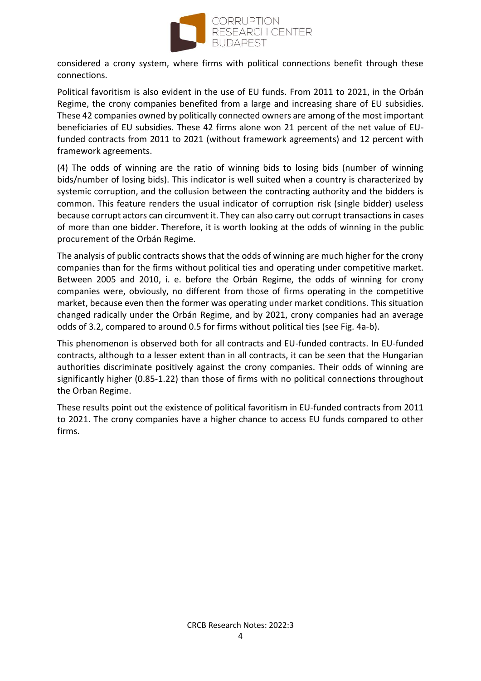

considered a crony system, where firms with political connections benefit through these connections.

Political favoritism is also evident in the use of EU funds. From 2011 to 2021, in the Orbán Regime, the crony companies benefited from a large and increasing share of EU subsidies. These 42 companies owned by politically connected owners are among of the most important beneficiaries of EU subsidies. These 42 firms alone won 21 percent of the net value of EUfunded contracts from 2011 to 2021 (without framework agreements) and 12 percent with framework agreements.

(4) The odds of winning are the ratio of winning bids to losing bids (number of winning bids/number of losing bids). This indicator is well suited when a country is characterized by systemic corruption, and the collusion between the contracting authority and the bidders is common. This feature renders the usual indicator of corruption risk (single bidder) useless because corrupt actors can circumvent it. They can also carry out corrupt transactions in cases of more than one bidder. Therefore, it is worth looking at the odds of winning in the public procurement of the Orbán Regime.

The analysis of public contracts shows that the odds of winning are much higher for the crony companies than for the firms without political ties and operating under competitive market. Between 2005 and 2010, i. e. before the Orbán Regime, the odds of winning for crony companies were, obviously, no different from those of firms operating in the competitive market, because even then the former was operating under market conditions. This situation changed radically under the Orbán Regime, and by 2021, crony companies had an average odds of 3.2, compared to around 0.5 for firms without political ties (see Fig. 4a-b).

This phenomenon is observed both for all contracts and EU-funded contracts. In EU-funded contracts, although to a lesser extent than in all contracts, it can be seen that the Hungarian authorities discriminate positively against the crony companies. Their odds of winning are significantly higher (0.85-1.22) than those of firms with no political connections throughout the Orban Regime.

These results point out the existence of political favoritism in EU-funded contracts from 2011 to 2021. The crony companies have a higher chance to access EU funds compared to other firms.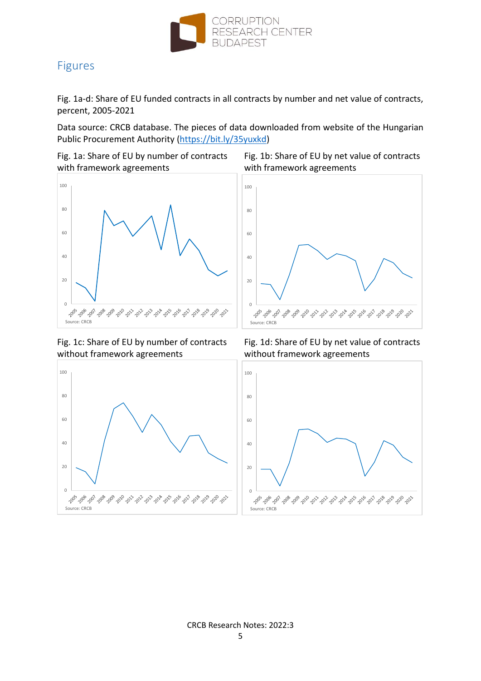

## Figures

Fig. 1a-d: Share of EU funded contracts in all contracts by number and net value of contracts, percent, 2005-2021

Data source: CRCB database. The pieces of data downloaded from website of the Hungarian Public Procurement Authority [\(https://bit.ly/35yuxkd\)](https://bit.ly/35yuxkd)

with framework agreements with framework agreements



without framework agreements without framework agreements



Fig. 1a: Share of EU by number of contracts Fig. 1b: Share of EU by net value of contracts



Fig. 1c: Share of EU by number of contracts Fig. 1d: Share of EU by net value of contracts

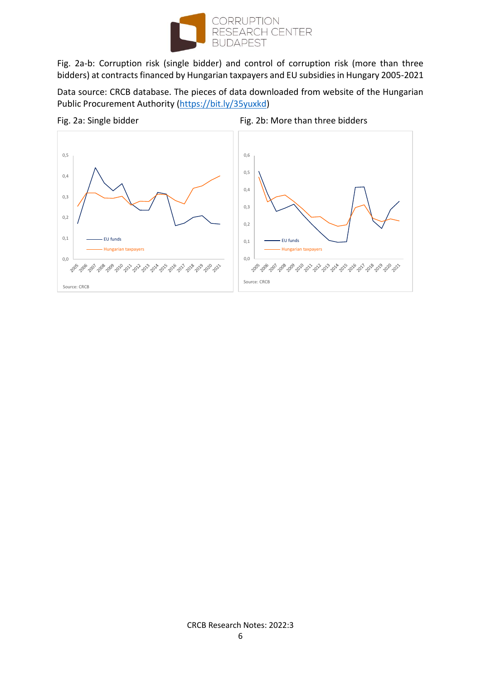

Fig. 2a-b: Corruption risk (single bidder) and control of corruption risk (more than three bidders) at contracts financed by Hungarian taxpayers and EU subsidies in Hungary 2005-2021

Data source: CRCB database. The pieces of data downloaded from website of the Hungarian Public Procurement Authority [\(https://bit.ly/35yuxkd\)](https://bit.ly/35yuxkd)



## CRCB Research Notes: 2022:3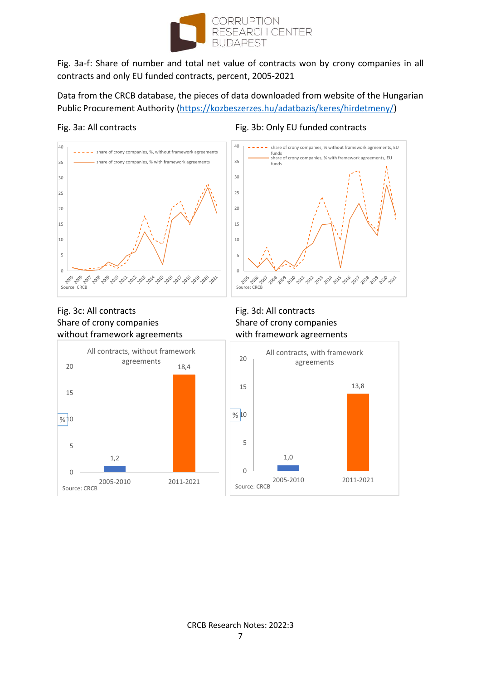

Fig. 3a-f: Share of number and total net value of contracts won by crony companies in all contracts and only EU funded contracts, percent, 2005-2021

Data from the CRCB database, the pieces of data downloaded from website of the Hungarian Public Procurement Authority [\(https://kozbeszerzes.hu/adatbazis/keres/hirdetmeny/\)](https://kozbeszerzes.hu/adatbazis/keres/hirdetmeny/)

## Fig. 3a: All contracts Fig. 3b: Only EU funded contracts



## Fig. 3c: All contracts Fig. 3d: All contracts Share of crony companies Share of crony companies without framework agreements with framework agreements





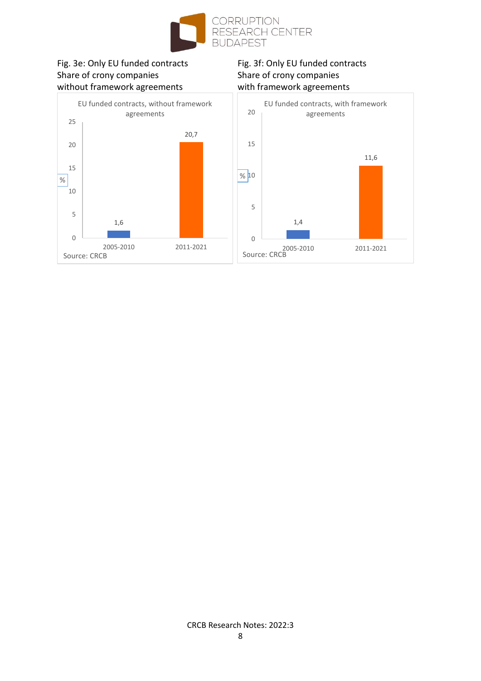

# Fig. 3e: Only EU funded contracts<br>
Share of crony companies<br>
Share of crony companies<br>
Share of crony companies without framework agreements with framework agreements

# Share of crony companies

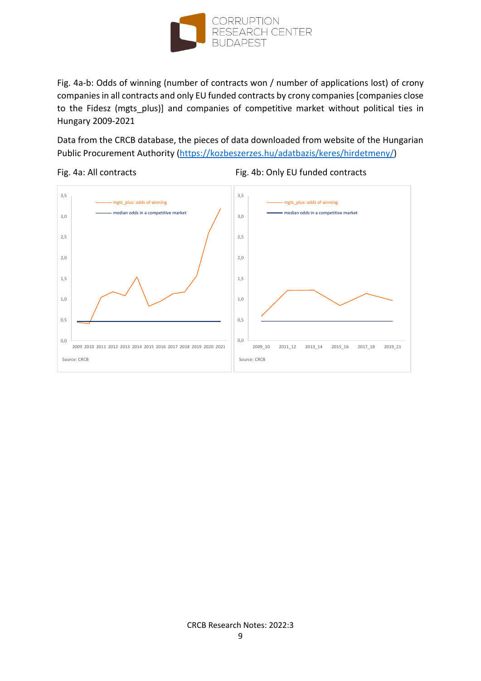

Fig. 4a-b: Odds of winning (number of contracts won / number of applications lost) of crony companies in all contracts and only EU funded contracts by crony companies [companies close to the Fidesz (mgts\_plus)] and companies of competitive market without political ties in Hungary 2009-2021

Data from the CRCB database, the pieces of data downloaded from website of the Hungarian Public Procurement Authority [\(https://kozbeszerzes.hu/adatbazis/keres/hirdetmeny/\)](https://kozbeszerzes.hu/adatbazis/keres/hirdetmeny/)

### Fig. 4a: All contracts Fig. 4b: Only EU funded contracts